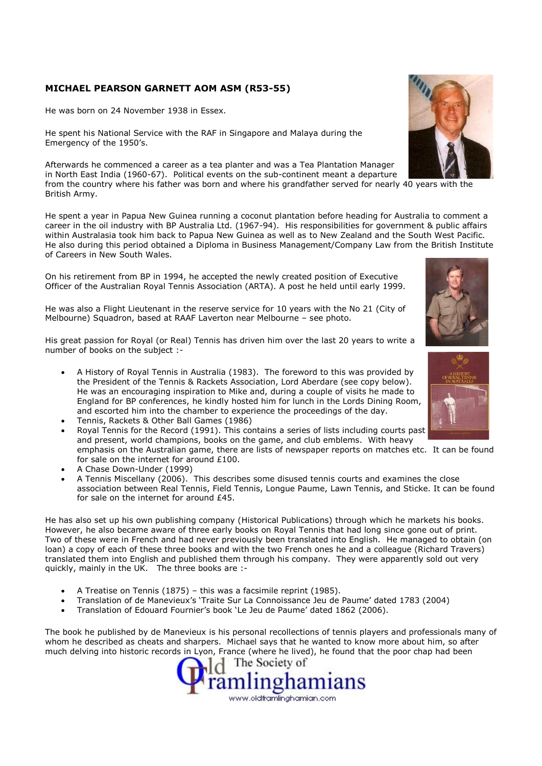## **MICHAEL PEARSON GARNETT AOM ASM (R53-55)**

He was born on 24 November 1938 in Essex.

He spent his National Service with the RAF in Singapore and Malaya during the Emergency of the 1950's.

Afterwards he commenced a career as a tea planter and was a Tea Plantation Manager in North East India (1960-67). Political events on the sub-continent meant a departure from the country where his father was born and where his grandfather served for nearly 40 years with the British Army.

He spent a year in Papua New Guinea running a coconut plantation before heading for Australia to comment a career in the oil industry with BP Australia Ltd. (1967-94). His responsibilities for government & public affairs within Australasia took him back to Papua New Guinea as well as to New Zealand and the South West Pacific. He also during this period obtained a Diploma in Business Management/Company Law from the British Institute of Careers in New South Wales.

On his retirement from BP in 1994, he accepted the newly created position of Executive Officer of the Australian Royal Tennis Association (ARTA). A post he held until early 1999.

He was also a Flight Lieutenant in the reserve service for 10 years with the No 21 (City of Melbourne) Squadron, based at RAAF Laverton near Melbourne – see photo.

His great passion for Royal (or Real) Tennis has driven him over the last 20 years to write a number of books on the subject :-

- A History of Royal Tennis in Australia (1983). The foreword to this was provided by the President of the Tennis & Rackets Association, Lord Aberdare (see copy below). He was an encouraging inspiration to Mike and, during a couple of visits he made to England for BP conferences, he kindly hosted him for lunch in the Lords Dining Room, and escorted him into the chamber to experience the proceedings of the day.
- Tennis, Rackets & Other Ball Games (1986)
- Royal Tennis for the Record (1991). This contains a series of lists including courts past and present, world champions, books on the game, and club emblems. With heavy emphasis on the Australian game, there are lists of newspaper reports on matches etc. It can be found
- for sale on the internet for around £100.
- A Chase Down-Under (1999)
- A Tennis Miscellany (2006). This describes some disused tennis courts and examines the close association between Real Tennis, Field Tennis, Longue Paume, Lawn Tennis, and Sticke. It can be found for sale on the internet for around £45.

He has also set up his own publishing company (Historical Publications) through which he markets his books. However, he also became aware of three early books on Royal Tennis that had long since gone out of print. Two of these were in French and had never previously been translated into English. He managed to obtain (on loan) a copy of each of these three books and with the two French ones he and a colleague (Richard Travers) translated them into English and published them through his company. They were apparently sold out very quickly, mainly in the UK. The three books are :-

- A Treatise on Tennis (1875) this was a facsimile reprint (1985).
- Translation of de Manevieux's 'Traite Sur La Connoissance Jeu de Paume' dated 1783 (2004)
- Translation of Edouard Fournier's book 'Le Jeu de Paume' dated 1862 (2006).

The book he published by de Manevieux is his personal recollections of tennis players and professionals many of whom he described as cheats and sharpers. Michael says that he wanted to know more about him, so after much delving into historic records in Lyon, France (where he lived), he found that the poor chap had been





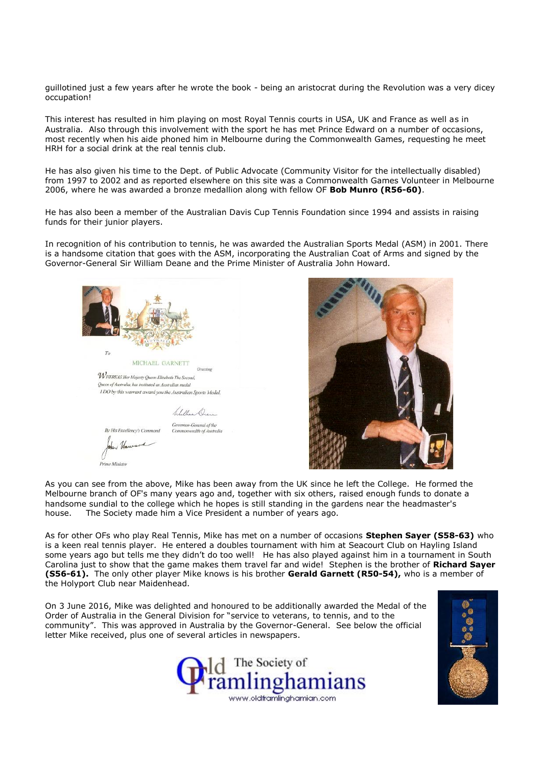guillotined just a few years after he wrote the book - being an aristocrat during the Revolution was a very dicey occupation!

This interest has resulted in him playing on most Royal Tennis courts in USA, UK and France as well as in Australia. Also through this involvement with the sport he has met Prince Edward on a number of occasions, most recently when his aide phoned him in Melbourne during the Commonwealth Games, requesting he meet HRH for a social drink at the real tennis club.

He has also given his time to the Dept. of Public Advocate (Community Visitor for the intellectually disabled) from 1997 to 2002 and as reported elsewhere on this site was a Commonwealth Games Volunteer in Melbourne 2006, where he was awarded a bronze medallion along with fellow OF **Bob Munro (R56-60)**.

He has also been a member of the Australian Davis Cup Tennis Foundation since 1994 and assists in raising funds for their junior players.

In recognition of his contribution to tennis, he was awarded the Australian Sports Medal (ASM) in 2001. There is a handsome citation that goes with the ASM, incorporating the Australian Coat of Arms and signed by the Governor-General Sir William Deane and the Prime Minister of Australia John Howard.



Primo Ministe



As you can see from the above, Mike has been away from the UK since he left the College. He formed the Melbourne branch of OF's many years ago and, together with six others, raised enough funds to donate a handsome sundial to the college which he hopes is still standing in the gardens near the headmaster's house. The Society made him a Vice President a number of years ago.

As for other OFs who play Real Tennis, Mike has met on a number of occasions **Stephen Sayer (S58-63)** who is a keen real tennis player. He entered a doubles tournament with him at Seacourt Club on Hayling Island some years ago but tells me they didn't do too well! He has also played against him in a tournament in South Carolina just to show that the game makes them travel far and wide! Stephen is the brother of **Richard Sayer (S56-61).** The only other player Mike knows is his brother **Gerald Garnett (R50-54),** who is a member of the Holyport Club near Maidenhead.

On 3 June 2016, Mike was delighted and honoured to be additionally awarded the Medal of the Order of Australia in the General Division for "service to veterans, to tennis, and to the community". This was approved in Australia by the Governor-General. See below the official letter Mike received, plus one of several articles in newspapers.



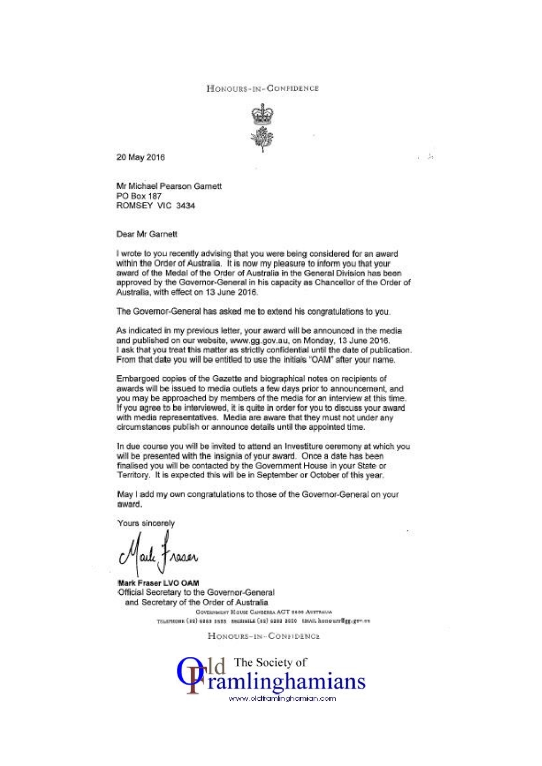HONOURS-IN-CONFIDENCE



i, de

20 May 2016

Mr Michael Pearson Garnett PO Box 187 ROMSEY VIC 3434

Dear Mr Garnett

I wrote to you recently advising that you were being considered for an award within the Order of Australia. It is now my pleasure to inform you that your award of the Medal of the Order of Australia in the General Division has been approved by the Governor-General in his capacity as Chancellor of the Order of Australia, with effect on 13 June 2016.

The Governor-General has asked me to extend his congratulations to you.

As indicated in my previous letter, your award will be announced in the media and published on our website, www.gg.gov.au, on Monday, 13 June 2016. I ask that you treat this matter as strictly confidential until the date of publication. From that date you will be entitled to use the initials "OAM" after your name.

Embargoed copies of the Gazette and biographical notes on recipients of awards will be issued to media outlets a few days prior to announcement, and you may be approached by members of the media for an interview at this time. If you agree to be interviewed, it is quite in order for you to discuss your award with media representatives. Media are aware that they must not under any circumstances publish or announce details until the appointed time.

In due course you will be invited to attend an Investiture ceremony at which you will be presented with the insignia of your award. Once a date has been finalised you will be contacted by the Government House in your State or Territory. It is expected this will be in September or October of this year.

May I add my own congratulations to those of the Governor-General on your award.

Yours sincerely

Mark Fraser LVO OAM Official Secretary to the Governor-General and Secretary of the Order of Australia **GOVERNMENT HOUSE CANBERRA ACT 2500 AUTTAUA** TELEVISORE (82) 6283 2523 ENCHALLE (82) 6282 3520 EMAIL honours@gp.gov.eu

HONOURS-IN-CONFIDENCE

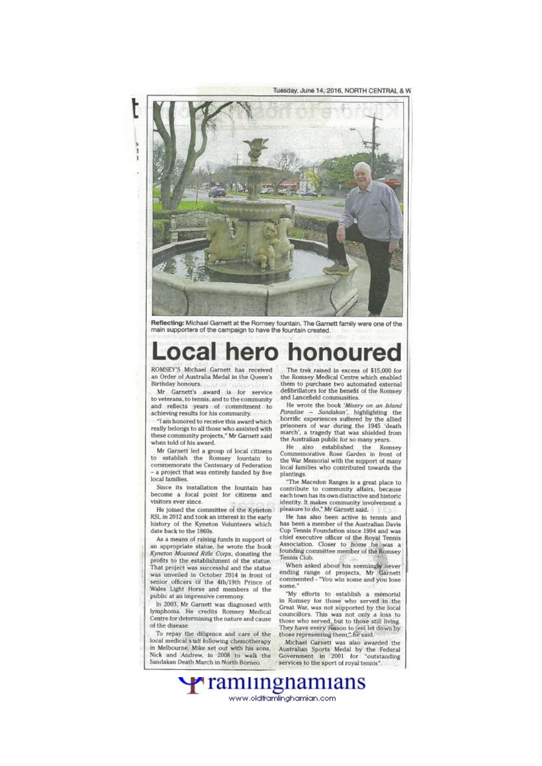Tuesday, June 14, 2016, NORTH CENTRAL & W



Reflecting: Michael Garnett at the Romsey fountain. The Garnett family were one of the main supporters of the campaign to have the fountain created.

# ero

ROMSEY'S Michael Garnett has received an Order of Australia Medal in the Queen's Birthday honours.

Mr Garnett's award is for service to veterans, to tennis, and to the community and reflects years of commitment to achieving results for his community.

"I am honored to receive this award which really belongs to all those who assisted with these community projects," Mr Garnett said when told of his award.

Mr Garnett led a group of local citizens to establish the Romsey fountain to<br>commemorate the Centenary of Federation - a project that was entirely funded by five local families.

Since its installation the fountain has become a focal point for citizens and visitors ever since.

He joined the committee of the Kyneton RSL in 2012 and took an interest in the early history of the Kyneton Volunteers which date back to the 1860s.

As a means of raising funds in support of an appropriate statue, he wrote the book<br>Kyneton Mounted Rifle Corps, donating the profits to the establishment of the statue. That project was successful and the statue<br>was unveiled in October 2014 in front of senior officers of the 4th/19th Prince of Wales Light Horse and members of the public at an impressive ceremony

In 2003, Mr Garnett was diagnosed with lymphoma. He credits Romsey Medical Centre for determining the nature and cause of the disease.

To repay the diligence and care of the local medical staff following chemotherapy in Melbourne, Mike set out with his sons, Nick and Andrew, in 2008 to walk the Sandakan Death March in North Borneo.

The trek raised in excess of \$15,000 for the Romsey Medical Centre which enabled them to purchase two automated external<br>defibrillators for the benefit of the Romsey and Lancefield communities.

He wrote the book 'Misery on an Island Paradise - Sandakan', highlighting the horrific experiences suffered by the allied prisoners of war during the 1945 'death march', a tragedy that was shielded from the Australian public for so many years.

He also established the Romsey Commemorative Rose Garden in front of the War Memorial with the support of many local families who contributed towards the plantings

"The Macedon Ranges is a great place to contribute to community affairs, because<br>each town has its own distinctive and historic identity. It makes community involvement a pleasure to do," Mr Garnett said.

He has also been active in tennis and<br>has been a member of the Australian Davis Cup Tennis Foundation since 1994 and was chief executive officer of the Royal Tennis<br>Association. Closer to home he was a founding committee member of the Romsey Tennis Chib

When asked about his seemingly never ending range of projects, Mr Garnett<br>commented - "You win some and you lose some

"My efforts to establish a memorial<br>in Romsey for those who served in the<br>Great War, was not supported by the local councillors. This was not only a loss to those who served, but to those still living. They have every reason to feel let down by those representing them," he said.

Michael Garnett was also awarded the<br>Australian Sports Medal by the Federal<br>Government in 2001 for "outstanding services to the sport of royal tennis".

 $\blacktriangleright$  raming namiting www.oldframlinghamian.com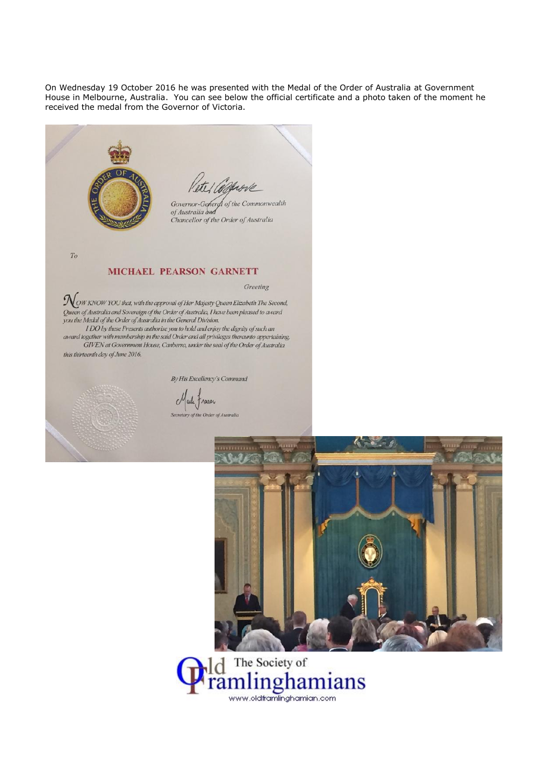On Wednesday 19 October 2016 he was presented with the Medal of the Order of Australia at Government House in Melbourne, Australia. You can see below the official certificate and a photo taken of the moment he received the medal from the Governor of Victoria.

Governor-General of the Commonwealth of Australia am Chancellor of the Order of Australia To MICHAEL PEARSON GARNETT Greeting Now KNOW YOU that, with the approval of Her Majesty Queen Elizabeth The Second, Queen of Australia and Sovereign of the Order of Australia, I have been pleased to award<br>you the Medal of the Order of Australia in the General Division. I DO by these Presents authorise you to hold and enjoy the dignity of such an award together with membership in the said Order and all privileges thereunto appertaining. GIVEN at Government House, Canberra, under the seal of the Order of Australia this thirteenth day of June 2016. By His Excellency's Command Mark Fraser .<br>rv of the Order of Australia



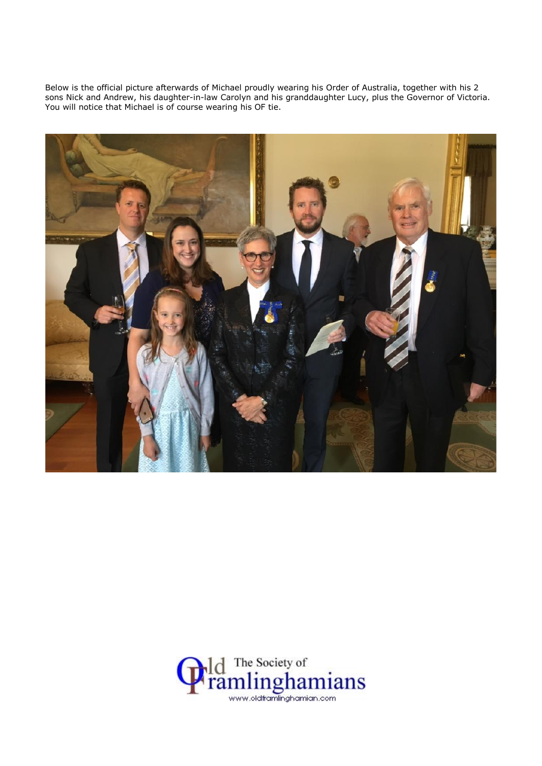Below is the official picture afterwards of Michael proudly wearing his Order of Australia, together with his 2 sons Nick and Andrew, his daughter-in-law Carolyn and his granddaughter Lucy, plus the Governor of Victoria. You will notice that Michael is of course wearing his OF tie.